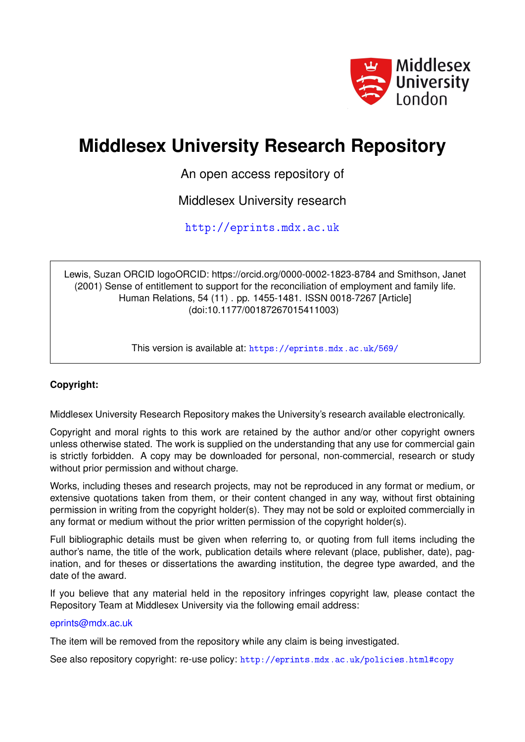

# **Middlesex University Research Repository**

An open access repository of

Middlesex University research

<http://eprints.mdx.ac.uk>

Lewis, Suzan ORCID logoORCID: https://orcid.org/0000-0002-1823-8784 and Smithson, Janet (2001) Sense of entitlement to support for the reconciliation of employment and family life. Human Relations, 54 (11) . pp. 1455-1481. ISSN 0018-7267 [Article] (doi:10.1177/00187267015411003)

This version is available at: <https://eprints.mdx.ac.uk/569/>

## **Copyright:**

Middlesex University Research Repository makes the University's research available electronically.

Copyright and moral rights to this work are retained by the author and/or other copyright owners unless otherwise stated. The work is supplied on the understanding that any use for commercial gain is strictly forbidden. A copy may be downloaded for personal, non-commercial, research or study without prior permission and without charge.

Works, including theses and research projects, may not be reproduced in any format or medium, or extensive quotations taken from them, or their content changed in any way, without first obtaining permission in writing from the copyright holder(s). They may not be sold or exploited commercially in any format or medium without the prior written permission of the copyright holder(s).

Full bibliographic details must be given when referring to, or quoting from full items including the author's name, the title of the work, publication details where relevant (place, publisher, date), pagination, and for theses or dissertations the awarding institution, the degree type awarded, and the date of the award.

If you believe that any material held in the repository infringes copyright law, please contact the Repository Team at Middlesex University via the following email address:

## [eprints@mdx.ac.uk](mailto:eprints@mdx.ac.uk)

The item will be removed from the repository while any claim is being investigated.

See also repository copyright: re-use policy: <http://eprints.mdx.ac.uk/policies.html#copy>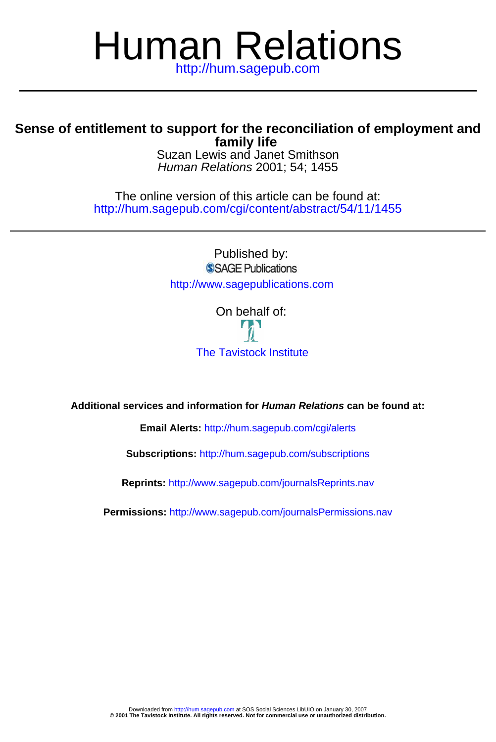## Human Relations http://hum.sagepub.com

## **family life Sense of entitlement to support for the reconciliation of employment and**

Human Relations 2001; 54; 1455 Suzan Lewis and Janet Smithson

http://hum.sagepub.com/cgi/content/abstract/54/11/1455 The online version of this article can be found at:

> Published by: SSAGE Publications http://www.sagepublications.com

> > On behalf of: [The Tavistock Institute](http://www.tavinstitute.org/index.php)

**Additional services and information for Human Relations can be found at:**

**Email Alerts:** <http://hum.sagepub.com/cgi/alerts>

**Subscriptions:** <http://hum.sagepub.com/subscriptions>

**Reprints:** <http://www.sagepub.com/journalsReprints.nav>

**Permissions:** <http://www.sagepub.com/journalsPermissions.nav>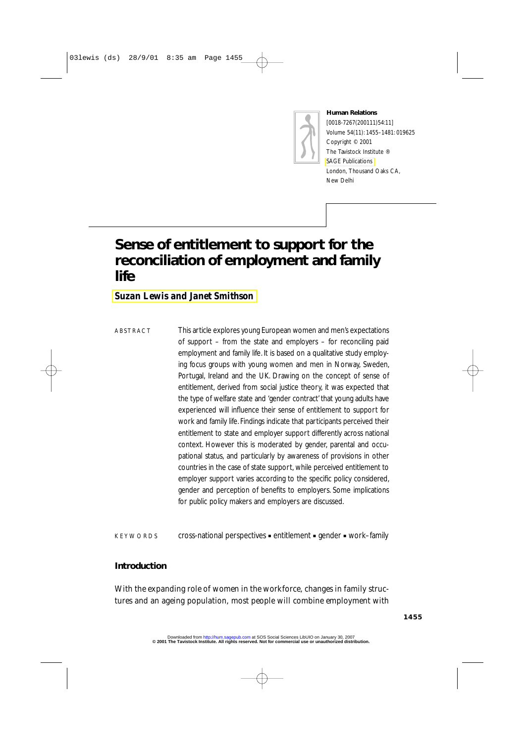

**Human Relations**

[0018-7267(200111)54:11] Volume 54(11): 1455–1481: 019625 Copyright © 2001 The Tavistock Institute ® [SAGE Publications](http:\\www.sagepub.co.uk) London, Thousand Oaks CA, New Delhi

## **Sense of entitlement to support for the reconciliation of employment and family life**

## *[Suzan Lewis and Janet Smithson](#page-28-0)*

## ABSTRACT This article explores young European women and men's expectations of support – from the state and employers – for reconciling paid employment and family life. It is based on a qualitative study employing focus groups with young women and men in Norway, Sweden, Portugal, Ireland and the UK. Drawing on the concept of sense of entitlement, derived from social justice theory, it was expected that the type of welfare state and 'gender contract' that young adults have experienced will influence their sense of entitlement to support for work and family life. Findings indicate that participants perceived their entitlement to state and employer support differently across national context. However this is moderated by gender, parental and occupational status, and particularly by awareness of provisions in other countries in the case of state support, while perceived entitlement to employer support varies according to the specific policy considered, gender and perception of benefits to employers. Some implications for public policy makers and employers are discussed.

KEYWORDS cross-national perspectives = entitlement = gender = work–family

## **Introduction**

With the expanding role of women in the workforce, changes in family structures and an ageing population, most people will combine employment with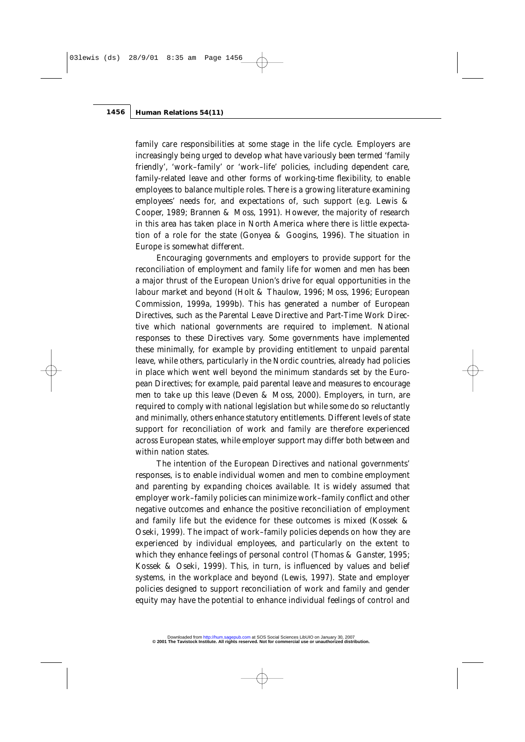family care responsibilities at some stage in the life cycle. Employers are increasingly being urged to develop what have variously been termed 'family friendly', 'work–family' or 'work–life' policies, including dependent care, family-related leave and other forms of working-time flexibility, to enable employees to balance multiple roles. There is a growing literature examining employees' needs for, and expectations of, such support (e.g. Lewis & Cooper, 1989; Brannen & Moss, 1991). However, the majority of research in this area has taken place in North America where there is little expectation of a role for the state (Gonyea & Googins, 1996). The situation in Europe is somewhat different.

Encouraging governments and employers to provide support for the reconciliation of employment and family life for women and men has been a major thrust of the European Union's drive for equal opportunities in the labour market and beyond (Holt & Thaulow, 1996; Moss, 1996; European Commission, 1999a, 1999b). This has generated a number of European Directives, such as the Parental Leave Directive and Part-Time Work Directive which national governments are required to implement. National responses to these Directives vary. Some governments have implemented these minimally, for example by providing entitlement to unpaid parental leave, while others, particularly in the Nordic countries, already had policies in place which went well beyond the minimum standards set by the European Directives; for example, paid parental leave and measures to encourage men to take up this leave (Deven & Moss, 2000). Employers, in turn, are required to comply with national legislation but while some do so reluctantly and minimally, others enhance statutory entitlements. Different levels of state support for reconciliation of work and family are therefore experienced across European states, while employer support may differ both between and within nation states.

The intention of the European Directives and national governments' responses, is to enable individual women and men to combine employment and parenting by expanding choices available. It is widely assumed that employer work–family policies can minimize work–family conflict and other negative outcomes and enhance the positive reconciliation of employment and family life but the evidence for these outcomes is mixed (Kossek & Oseki, 1999). The impact of work–family policies depends on how they are experienced by individual employees, and particularly on the extent to which they enhance feelings of personal control (Thomas & Ganster, 1995; Kossek & Oseki, 1999). This, in turn, is influenced by values and belief systems, in the workplace and beyond (Lewis, 1997). State and employer policies designed to support reconciliation of work and family and gender equity may have the potential to enhance individual feelings of control and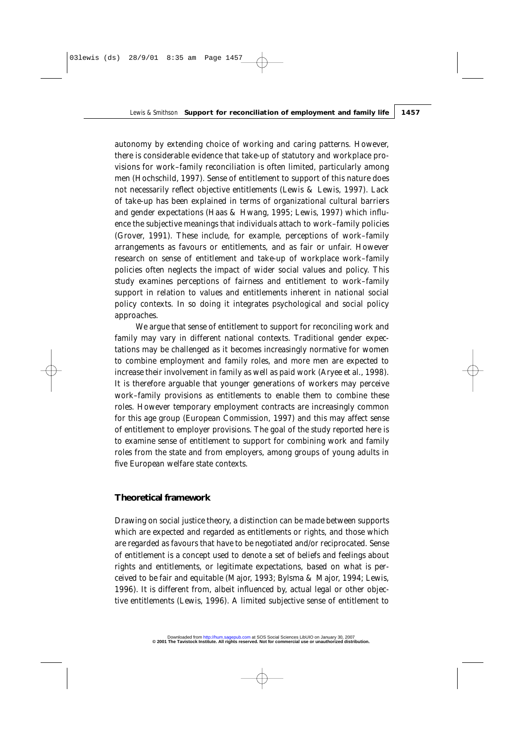autonomy by extending choice of working and caring patterns. However, there is considerable evidence that take-up of statutory and workplace provisions for work–family reconciliation is often limited, particularly among men (Hochschild, 1997). Sense of entitlement to support of this nature does not necessarily reflect objective entitlements (Lewis & Lewis, 1997). Lack of take-up has been explained in terms of organizational cultural barriers and gender expectations (Haas & Hwang, 1995; Lewis, 1997) which influence the subjective meanings that individuals attach to work–family policies (Grover, 1991). These include, for example, perceptions of work–family arrangements as favours or entitlements, and as fair or unfair. However research on sense of entitlement and take-up of workplace work–family policies often neglects the impact of wider social values and policy. This study examines perceptions of fairness and entitlement to work–family support in relation to values and entitlements inherent in national social policy contexts. In so doing it integrates psychological and social policy approaches.

We argue that sense of entitlement to support for reconciling work and family may vary in different national contexts. Traditional gender expectations may be challenged as it becomes increasingly normative for women to combine employment and family roles, and more men are expected to increase their involvement in family as well as paid work (Aryee et al., 1998). It is therefore arguable that younger generations of workers may perceive work–family provisions as entitlements to enable them to combine these roles. However temporary employment contracts are increasingly common for this age group (European Commission, 1997) and this may affect sense of entitlement to employer provisions. The goal of the study reported here is to examine sense of entitlement to support for combining work and family roles from the state and from employers, among groups of young adults in five European welfare state contexts.

#### **Theoretical framework**

Drawing on social justice theory, a distinction can be made between supports which are expected and regarded as entitlements or rights, and those which are regarded as favours that have to be negotiated and/or reciprocated. Sense of entitlement is a concept used to denote a set of beliefs and feelings about rights and entitlements, or legitimate expectations, based on what is perceived to be fair and equitable (Major, 1993; Bylsma & Major, 1994; Lewis, 1996). It is different from, albeit influenced by, actual legal or other objective entitlements (Lewis, 1996). A limited subjective sense of entitlement to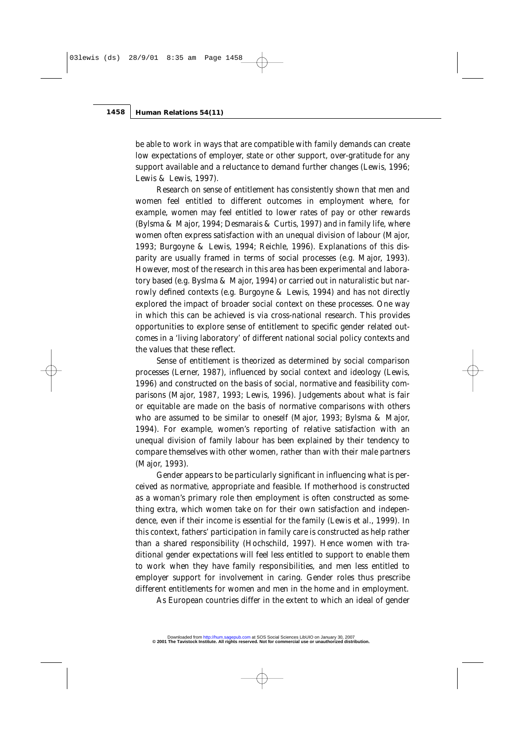be able to work in ways that are compatible with family demands can create low expectations of employer, state or other support, over-gratitude for any support available and a reluctance to demand further changes (Lewis, 1996; Lewis & Lewis, 1997).

Research on sense of entitlement has consistently shown that men and women feel entitled to different outcomes in employment where, for example, women may feel entitled to lower rates of pay or other rewards (Bylsma & Major, 1994; Desmarais & Curtis, 1997) and in family life, where women often express satisfaction with an unequal division of labour (Major, 1993; Burgoyne & Lewis, 1994; Reichle, 1996). Explanations of this disparity are usually framed in terms of social processes (e.g. Major, 1993). However, most of the research in this area has been experimental and laboratory based (e.g. Byslma & Major, 1994) or carried out in naturalistic but narrowly defined contexts (e.g. Burgoyne & Lewis, 1994) and has not directly explored the impact of broader social context on these processes. One way in which this can be achieved is via cross-national research. This provides opportunities to explore sense of entitlement to specific gender related outcomes in a 'living laboratory' of different national social policy contexts and the values that these reflect.

Sense of entitlement is theorized as determined by social comparison processes (Lerner, 1987), influenced by social context and ideology (Lewis, 1996) and constructed on the basis of social, normative and feasibility comparisons (Major, 1987, 1993; Lewis, 1996). Judgements about what is fair or equitable are made on the basis of normative comparisons with others who are assumed to be similar to oneself (Major, 1993; Bylsma & Major, 1994). For example, women's reporting of relative satisfaction with an unequal division of family labour has been explained by their tendency to compare themselves with other women, rather than with their male partners (Major, 1993).

Gender appears to be particularly significant in influencing what is perceived as normative, appropriate and feasible. If motherhood is constructed as a woman's primary role then employment is often constructed as something extra, which women take on for their own satisfaction and independence, even if their income is essential for the family (Lewis et al., 1999). In this context, fathers' participation in family care is constructed as help rather than a shared responsibility (Hochschild, 1997). Hence women with traditional gender expectations will feel less entitled to support to enable them to work when they have family responsibilities, and men less entitled to employer support for involvement in caring. Gender roles thus prescribe different entitlements for women and men in the home and in employment.

As European countries differ in the extent to which an ideal of gender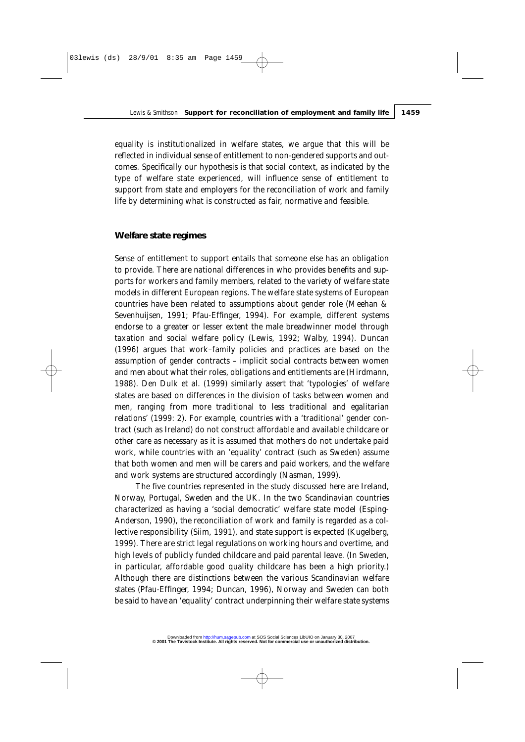equality is institutionalized in welfare states, we argue that this will be reflected in individual sense of entitlement to non-gendered supports and outcomes. Specifically our hypothesis is that social context, as indicated by the type of welfare state experienced, will influence sense of entitlement to support from state and employers for the reconciliation of work and family life by determining what is constructed as fair, normative and feasible.

#### **Welfare state regimes**

Sense of entitlement to support entails that someone else has an obligation to provide. There are national differences in who provides benefits and supports for workers and family members, related to the variety of welfare state models in different European regions. The welfare state systems of European countries have been related to assumptions about gender role (Meehan & Sevenhuijsen, 1991; Pfau-Effinger, 1994). For example, different systems endorse to a greater or lesser extent the male breadwinner model through taxation and social welfare policy (Lewis, 1992; Walby, 1994). Duncan (1996) argues that work–family policies and practices are based on the assumption of gender contracts – implicit social contracts between women and men about what their roles, obligations and entitlements are (Hirdmann, 1988). Den Dulk et al. (1999) similarly assert that 'typologies' of welfare states are based on differences in the division of tasks between women and men, ranging from more traditional to less traditional and egalitarian relations' (1999: 2). For example, countries with a 'traditional' gender contract (such as Ireland) do not construct affordable and available childcare or other care as necessary as it is assumed that mothers do not undertake paid work, while countries with an 'equality' contract (such as Sweden) assume that both women and men will be carers and paid workers, and the welfare and work systems are structured accordingly (Nasman, 1999).

The five countries represented in the study discussed here are Ireland, Norway, Portugal, Sweden and the UK. In the two Scandinavian countries characterized as having a 'social democratic' welfare state model (Esping-Anderson, 1990), the reconciliation of work and family is regarded as a collective responsibility (Siim, 1991), and state support is expected (Kugelberg, 1999). There are strict legal regulations on working hours and overtime, and high levels of publicly funded childcare and paid parental leave. (In Sweden, in particular, affordable good quality childcare has been a high priority.) Although there are distinctions between the various Scandinavian welfare states (Pfau-Effinger, 1994; Duncan, 1996), Norway and Sweden can both be said to have an 'equality' contract underpinning their welfare state systems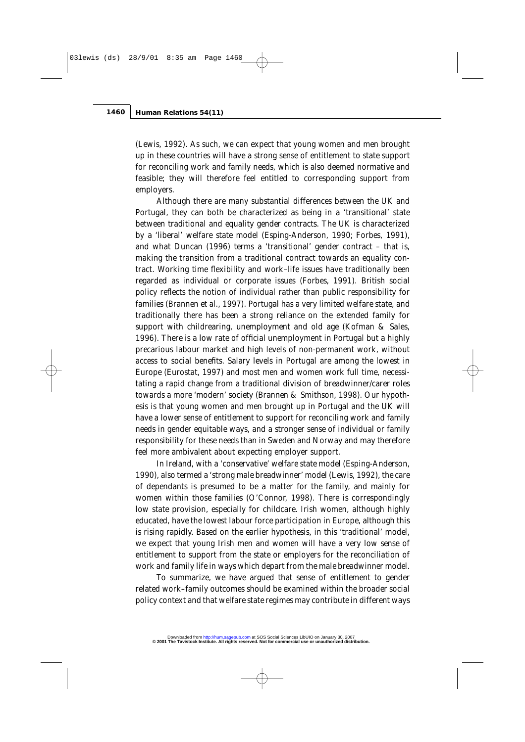(Lewis, 1992). As such, we can expect that young women and men brought up in these countries will have a strong sense of entitlement to state support for reconciling work and family needs, which is also deemed normative and feasible; they will therefore feel entitled to corresponding support from employers.

Although there are many substantial differences between the UK and Portugal, they can both be characterized as being in a 'transitional' state between traditional and equality gender contracts. The UK is characterized by a 'liberal' welfare state model (Esping-Anderson, 1990; Forbes, 1991), and what Duncan (1996) terms a 'transitional' gender contract – that is, making the transition from a traditional contract towards an equality contract. Working time flexibility and work–life issues have traditionally been regarded as individual or corporate issues (Forbes, 1991). British social policy reflects the notion of individual rather than public responsibility for families (Brannen et al., 1997). Portugal has a very limited welfare state, and traditionally there has been a strong reliance on the extended family for support with childrearing, unemployment and old age (Kofman & Sales, 1996). There is a low rate of official unemployment in Portugal but a highly precarious labour market and high levels of non-permanent work, without access to social benefits. Salary levels in Portugal are among the lowest in Europe (Eurostat, 1997) and most men and women work full time, necessitating a rapid change from a traditional division of breadwinner/carer roles towards a more 'modern' society (Brannen & Smithson, 1998). Our hypothesis is that young women and men brought up in Portugal and the UK will have a lower sense of entitlement to support for reconciling work and family needs in gender equitable ways, and a stronger sense of individual or family responsibility for these needs than in Sweden and Norway and may therefore feel more ambivalent about expecting employer support.

In Ireland, with a 'conservative' welfare state model (Esping-Anderson, 1990), also termed a 'strong male breadwinner' model (Lewis, 1992), the care of dependants is presumed to be a matter for the family, and mainly for women within those families (O'Connor, 1998). There is correspondingly low state provision, especially for childcare. Irish women, although highly educated, have the lowest labour force participation in Europe, although this is rising rapidly. Based on the earlier hypothesis, in this 'traditional' model, we expect that young Irish men and women will have a very low sense of entitlement to support from the state or employers for the reconciliation of work and family life in ways which depart from the male breadwinner model.

To summarize, we have argued that sense of entitlement to gender related work–family outcomes should be examined within the broader social policy context and that welfare state regimes may contribute in different ways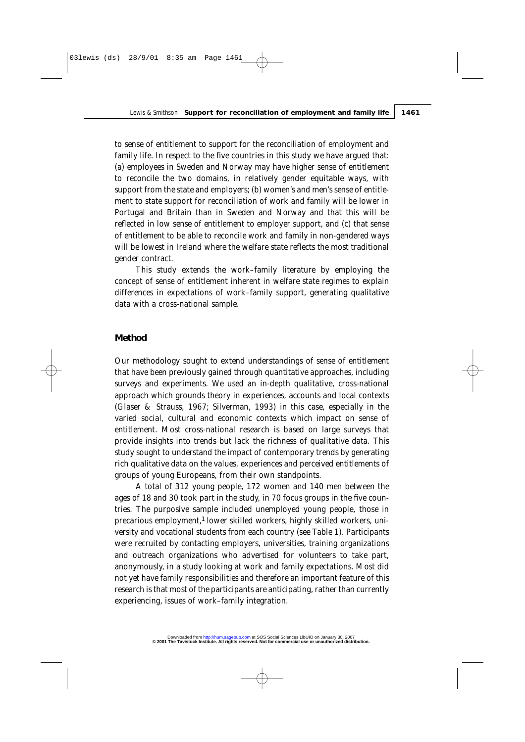to sense of entitlement to support for the reconciliation of employment and family life. In respect to the five countries in this study we have argued that: (a) employees in Sweden and Norway may have higher sense of entitlement to reconcile the two domains, in relatively gender equitable ways, with support from the state and employers; (b) women's and men's sense of entitlement to state support for reconciliation of work and family will be lower in Portugal and Britain than in Sweden and Norway and that this will be reflected in low sense of entitlement to employer support, and (c) that sense of entitlement to be able to reconcile work and family in non-gendered ways will be lowest in Ireland where the welfare state reflects the most traditional gender contract.

This study extends the work–family literature by employing the concept of sense of entitlement inherent in welfare state regimes to explain differences in expectations of work–family support, generating qualitative data with a cross-national sample.

#### **Method**

Our methodology sought to extend understandings of sense of entitlement that have been previously gained through quantitative approaches, including surveys and experiments. We used an in-depth qualitative, cross-national approach which grounds theory in experiences, accounts and local contexts (Glaser & Strauss, 1967; Silverman, 1993) in this case, especially in the varied social, cultural and economic contexts which impact on sense of entitlement. Most cross-national research is based on large surveys that provide insights into trends but lack the richness of qualitative data. This study sought to understand the impact of contemporary trends by generating rich qualitative data on the values, experiences and perceived entitlements of groups of young Europeans, from their own standpoints.

A total of 312 young people, 172 women and 140 men between the ages of 18 and 30 took part in the study, in 70 focus groups in the five countries. The purposive sample included unemployed young people, those in precarious employment,<sup>1</sup> lower skilled workers, highly skilled workers, university and vocational students from each country (see Table 1). Participants were recruited by contacting employers, universities, training organizations and outreach organizations who advertised for volunteers to take part, anonymously, in a study looking at work and family expectations. Most did not yet have family responsibilities and therefore an important feature of this research is that most of the participants are anticipating, rather than currently experiencing, issues of work–family integration.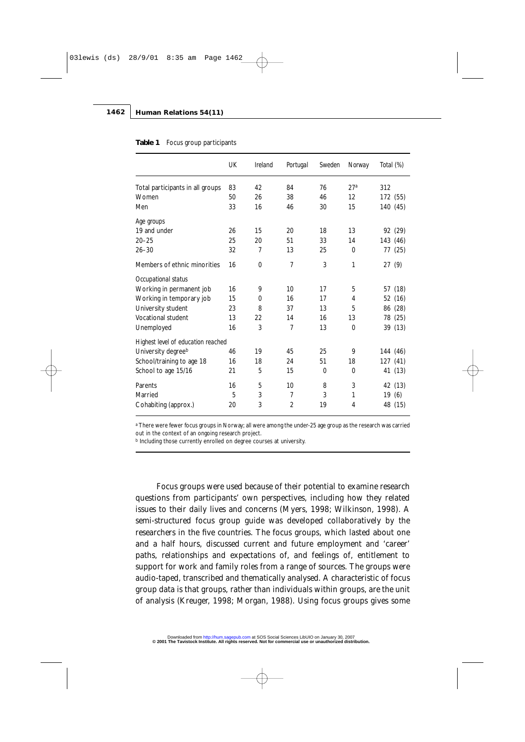|                                    | UK | Ireland | Portugal         | Sweden   | Norway          | Total (%)  |
|------------------------------------|----|---------|------------------|----------|-----------------|------------|
| Total participants in all groups   | 83 | 42      | 84               | 76       | 27 <sup>a</sup> | 312        |
| Women                              | 50 | 26      | 38               | 46       | 12              | 172 (55)   |
| Men                                | 33 | 16      | 46               | 30       | 15              | 140 (45)   |
| Age groups                         |    |         |                  |          |                 |            |
| 19 and under                       | 26 | 15      | 20               | 18       | 13              | 92 (29)    |
| $20 - 25$                          | 25 | 20      | 51               | 33       | 14              | 143 (46)   |
| $26 - 30$                          | 32 | 7       | 13               | 25       | 0               | 77<br>(25) |
| Members of ethnic minorities       | 16 | 0       | $\overline{7}$   | 3        | 1               | 27 (9)     |
| Occupational status                |    |         |                  |          |                 |            |
| Working in permanent job           | 16 | 9       | 10 <sup>10</sup> | 17       | 5               | 57 (18)    |
| Working in temporary job           | 15 | 0       | 16               | 17       | 4               | 52<br>(16) |
| University student                 | 23 | 8       | 37               | 13       | 5               | (28)<br>86 |
| Vocational student                 | 13 | 22      | 14               | 16       | 13              | 78 (25)    |
| Unemployed                         | 16 | 3       | 7                | 13       | $\Omega$        | 39 (13)    |
| Highest level of education reached |    |         |                  |          |                 |            |
| University degreeb                 | 46 | 19      | 45               | 25       | 9               | 144 (46)   |
| School/training to age 18          | 16 | 18      | 24               | 51       | 18              | 127 (41)   |
| School to age 15/16                | 21 | 5       | 15               | $\Omega$ | 0               | 41 (13)    |
| Parents                            | 16 | 5       | 10               | 8        | 3               | 42 (13)    |
| Married                            | 5  | 3       | 7                | 3        | 1               | 19 (6)     |
| Cohabiting (approx.)               | 20 | 3       | $\overline{2}$   | 19       | $\overline{4}$  | 48<br>(15) |

#### **Table 1** Focus group participants

a There were fewer focus groups in Norway; all were among the under-25 age group as the research was carried out in the context of an ongoing research project.

Focus groups were used because of their potential to examine research questions from participants' own perspectives, including how they related issues to their daily lives and concerns (Myers, 1998; Wilkinson, 1998). A semi-structured focus group guide was developed collaboratively by the researchers in the five countries. The focus groups, which lasted about one and a half hours, discussed current and future employment and 'career' paths, relationships and expectations of, and feelings of, entitlement to support for work and family roles from a range of sources. The groups were audio-taped, transcribed and thematically analysed. A characteristic of focus group data is that groups, rather than individuals within groups, are the unit of analysis (Kreuger, 1998; Morgan, 1988). Using focus groups gives some

**b** Including those currently enrolled on degree courses at university.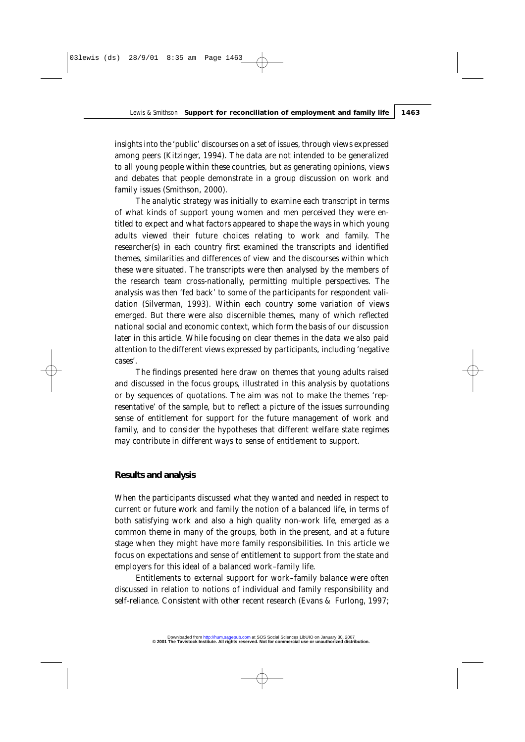insights into the 'public' discourses on a set of issues, through views expressed among peers (Kitzinger, 1994). The data are not intended to be generalized to all young people within these countries, but as generating opinions, views and debates that people demonstrate in a group discussion on work and family issues (Smithson, 2000).

The analytic strategy was initially to examine each transcript in terms of what kinds of support young women and men perceived they were entitled to expect and what factors appeared to shape the ways in which young adults viewed their future choices relating to work and family. The researcher(s) in each country first examined the transcripts and identified themes, similarities and differences of view and the discourses within which these were situated. The transcripts were then analysed by the members of the research team cross-nationally, permitting multiple perspectives. The analysis was then 'fed back' to some of the participants for respondent validation (Silverman, 1993). Within each country some variation of views emerged. But there were also discernible themes, many of which reflected national social and economic context, which form the basis of our discussion later in this article. While focusing on clear themes in the data we also paid attention to the different views expressed by participants, including 'negative cases'.

The findings presented here draw on themes that young adults raised and discussed in the focus groups, illustrated in this analysis by quotations or by sequences of quotations. The aim was not to make the themes 'representative' of the sample, but to reflect a picture of the issues surrounding sense of entitlement for support for the future management of work and family, and to consider the hypotheses that different welfare state regimes may contribute in different ways to sense of entitlement to support.

#### **Results and analysis**

When the participants discussed what they wanted and needed in respect to current or future work and family the notion of a balanced life, in terms of both satisfying work and also a high quality non-work life, emerged as a common theme in many of the groups, both in the present, and at a future stage when they might have more family responsibilities. In this article we focus on expectations and sense of entitlement to support from the state and employers for this ideal of a balanced work–family life.

Entitlements to external support for work–family balance were often discussed in relation to notions of individual and family responsibility and self-reliance. Consistent with other recent research (Evans & Furlong, 1997;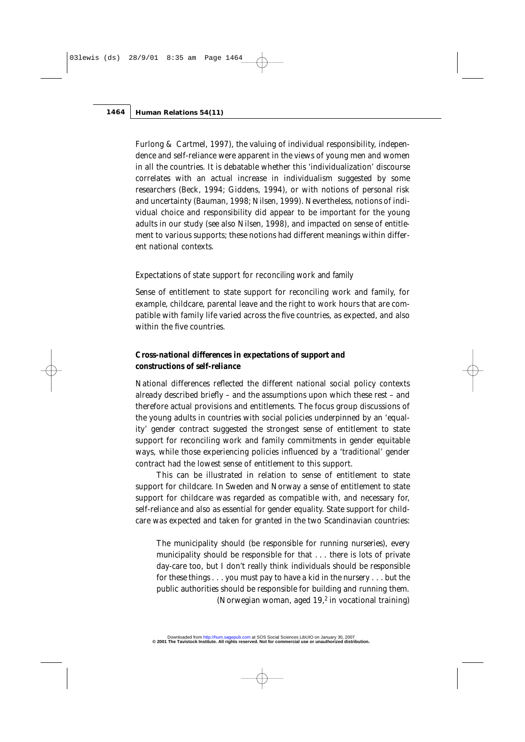Furlong & Cartmel, 1997), the valuing of individual responsibility, independence and self-reliance were apparent in the views of young men and women in all the countries. It is debatable whether this 'individualization' discourse correlates with an actual increase in individualism suggested by some researchers (Beck, 1994; Giddens, 1994), or with notions of personal risk and uncertainty (Bauman, 1998; Nilsen, 1999). Nevertheless, notions of individual choice and responsibility did appear to be important for the young adults in our study (see also Nilsen, 1998), and impacted on sense of entitlement to various supports; these notions had different meanings within different national contexts.

Expectations of state support for reconciling work and family

Sense of entitlement to state support for reconciling work and family, for example, childcare, parental leave and the right to work hours that are compatible with family life varied across the five countries, as expected, and also within the five countries.

#### *Cross-national differences in expectations of support and constructions of self-reliance*

National differences reflected the different national social policy contexts already described briefly – and the assumptions upon which these rest – and therefore actual provisions and entitlements. The focus group discussions of the young adults in countries with social policies underpinned by an 'equality' gender contract suggested the strongest sense of entitlement to state support for reconciling work and family commitments in gender equitable ways, while those experiencing policies influenced by a 'traditional' gender contract had the lowest sense of entitlement to this support.

This can be illustrated in relation to sense of entitlement to state support for childcare. In Sweden and Norway a sense of entitlement to state support for childcare was regarded as compatible with, and necessary for, self-reliance and also as essential for gender equality. State support for childcare was expected and taken for granted in the two Scandinavian countries:

The municipality should (be responsible for running nurseries), every municipality should be responsible for that . . . there is lots of private day-care too, but I don't really think individuals should be responsible for these things . . . you must pay to have a kid in the nursery . . . but the public authorities should be responsible for building and running them. (Norwegian woman, aged  $19<sup>2</sup>$  in vocational training)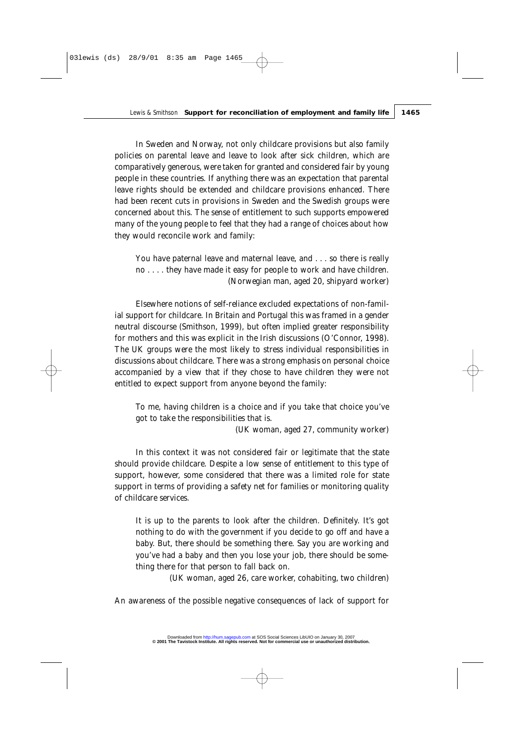In Sweden and Norway, not only childcare provisions but also family policies on parental leave and leave to look after sick children, which are comparatively generous, were taken for granted and considered fair by young people in these countries. If anything there was an expectation that parental leave rights should be extended and childcare provisions enhanced. There had been recent cuts in provisions in Sweden and the Swedish groups were concerned about this. The sense of entitlement to such supports empowered many of the young people to feel that they had a range of choices about how they would reconcile work and family:

You have paternal leave and maternal leave, and . . . so there is really no . . . . they have made it easy for people to work and have children. (Norwegian man, aged 20, shipyard worker)

Elsewhere notions of self-reliance excluded expectations of non-familial support for childcare. In Britain and Portugal this was framed in a gender neutral discourse (Smithson, 1999), but often implied greater responsibility for mothers and this was explicit in the Irish discussions (O'Connor, 1998). The UK groups were the most likely to stress individual responsibilities in discussions about childcare. There was a strong emphasis on personal choice accompanied by a view that if they chose to have children they were not entitled to expect support from anyone beyond the family:

To me, having children is a choice and if you take that choice you've got to take the responsibilities that is.

(UK woman, aged 27, community worker)

In this context it was not considered fair or legitimate that the state should provide childcare. Despite a low sense of entitlement to this type of support, however, some considered that there was a limited role for state support in terms of providing a safety net for families or monitoring quality of childcare services.

It is up to the parents to look after the children. Definitely. It's got nothing to do with the government if you decide to go off and have a baby. But, there should be something there. Say you are working and you've had a baby and then you lose your job, there should be something there for that person to fall back on.

(UK woman, aged 26, care worker, cohabiting, two children)

An awareness of the possible negative consequences of lack of support for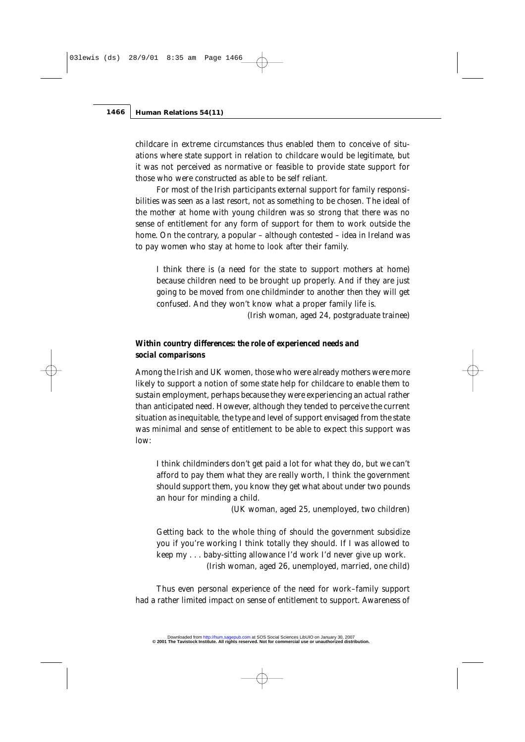childcare in extreme circumstances thus enabled them to conceive of situations where state support in relation to childcare would be legitimate, but it was not perceived as normative or feasible to provide state support for those who were constructed as able to be self reliant.

For most of the Irish participants external support for family responsibilities was seen as a last resort, not as something to be chosen. The ideal of the mother at home with young children was so strong that there was no sense of entitlement for any form of support for them to work outside the home. On the contrary, a popular – although contested – idea in Ireland was to pay women who stay at home to look after their family.

I think there is (a need for the state to support mothers at home) because children need to be brought up properly. And if they are just going to be moved from one childminder to another then they will get confused. And they won't know what a proper family life is.

(Irish woman, aged 24, postgraduate trainee)

#### *Within country differences: the role of experienced needs and social comparisons*

Among the Irish and UK women, those who were already mothers were more likely to support a notion of some state help for childcare to enable them to sustain employment, perhaps because they were experiencing an actual rather than anticipated need. However, although they tended to perceive the current situation as inequitable, the type and level of support envisaged from the state was minimal and sense of entitlement to be able to expect this support was low:

I think childminders don't get paid a lot for what they do, but we can't afford to pay them what they are really worth, I think the government should support them, you know they get what about under two pounds an hour for minding a child.

(UK woman, aged 25, unemployed, two children)

Getting back to the whole thing of should the government subsidize you if you're working I think totally they should. If I was allowed to keep my . . . baby-sitting allowance I'd work I'd never give up work. (Irish woman, aged 26, unemployed, married, one child)

Thus even personal experience of the need for work–family support had a rather limited impact on sense of entitlement to support. Awareness of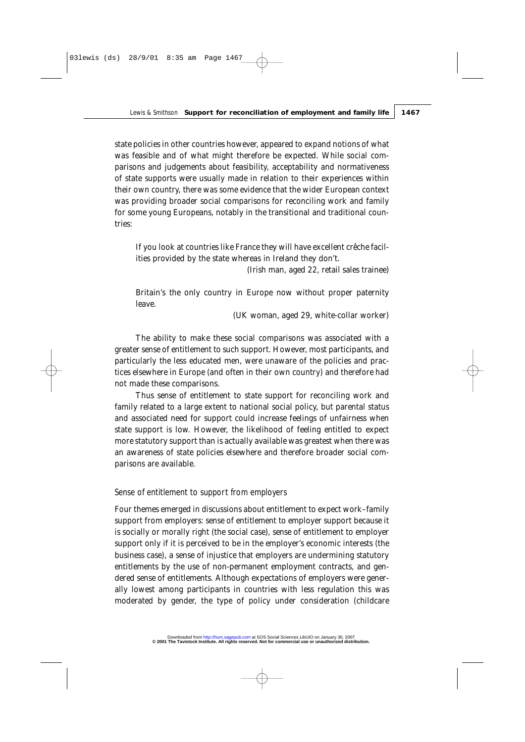state policies in other countries however, appeared to expand notions of what was feasible and of what might therefore be expected. While social comparisons and judgements about feasibility, acceptability and normativeness of state supports were usually made in relation to their experiences within their own country, there was some evidence that the wider European context was providing broader social comparisons for reconciling work and family for some young Europeans, notably in the transitional and traditional countries:

If you look at countries like France they will have excellent crêche facilities provided by the state whereas in Ireland they don't.

(Irish man, aged 22, retail sales trainee)

Britain's the only country in Europe now without proper paternity leave.

(UK woman, aged 29, white-collar worker)

The ability to make these social comparisons was associated with a greater sense of entitlement to such support. However, most participants, and particularly the less educated men, were unaware of the policies and practices elsewhere in Europe (and often in their own country) and therefore had not made these comparisons.

Thus sense of entitlement to state support for reconciling work and family related to a large extent to national social policy, but parental status and associated need for support could increase feelings of unfairness when state support is low. However, the likelihood of feeling entitled to expect more statutory support than is actually available was greatest when there was an awareness of state policies elsewhere and therefore broader social comparisons are available.

Sense of entitlement to support from employers

Four themes emerged in discussions about entitlement to expect work–family support from employers: sense of entitlement to employer support because it is socially or morally right (the social case), sense of entitlement to employer support only if it is perceived to be in the employer's economic interests (the business case), a sense of injustice that employers are undermining statutory entitlements by the use of non-permanent employment contracts, and gendered sense of entitlements. Although expectations of employers were generally lowest among participants in countries with less regulation this was moderated by gender, the type of policy under consideration (childcare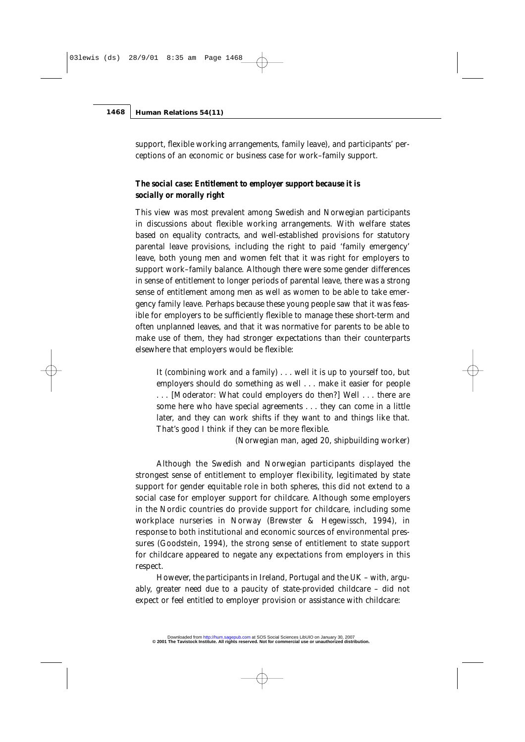support, flexible working arrangements, family leave), and participants' perceptions of an economic or business case for work–family support.

### *The social case: Entitlement to employer support because it is socially or morally right*

This view was most prevalent among Swedish and Norwegian participants in discussions about flexible working arrangements. With welfare states based on equality contracts, and well-established provisions for statutory parental leave provisions, including the right to paid 'family emergency' leave, both young men and women felt that it was right for employers to support work–family balance. Although there were some gender differences in sense of entitlement to longer periods of parental leave, there was a strong sense of entitlement among men as well as women to be able to take emergency family leave. Perhaps because these young people saw that it was feasible for employers to be sufficiently flexible to manage these short-term and often unplanned leaves, and that it was normative for parents to be able to make use of them, they had stronger expectations than their counterparts elsewhere that employers would be flexible:

It (combining work and a family) . . . well it is up to yourself too, but employers should do something as well . . . make it easier for people . . . [Moderator: What could employers do then?] Well . . . there are some here who have special agreements . . . they can come in a little later, and they can work shifts if they want to and things like that. That's good I think if they can be more flexible.

(Norwegian man, aged 20, shipbuilding worker)

Although the Swedish and Norwegian participants displayed the strongest sense of entitlement to employer flexibility, legitimated by state support for gender equitable role in both spheres, this did not extend to a social case for employer support for childcare. Although some employers in the Nordic countries do provide support for childcare, including some workplace nurseries in Norway (Brewster & Hegewissch, 1994), in response to both institutional and economic sources of environmental pressures (Goodstein, 1994), the strong sense of entitlement to state support for childcare appeared to negate any expectations from employers in this respect.

However, the participants in Ireland, Portugal and the UK – with, arguably, greater need due to a paucity of state-provided childcare – did not expect or feel entitled to employer provision or assistance with childcare: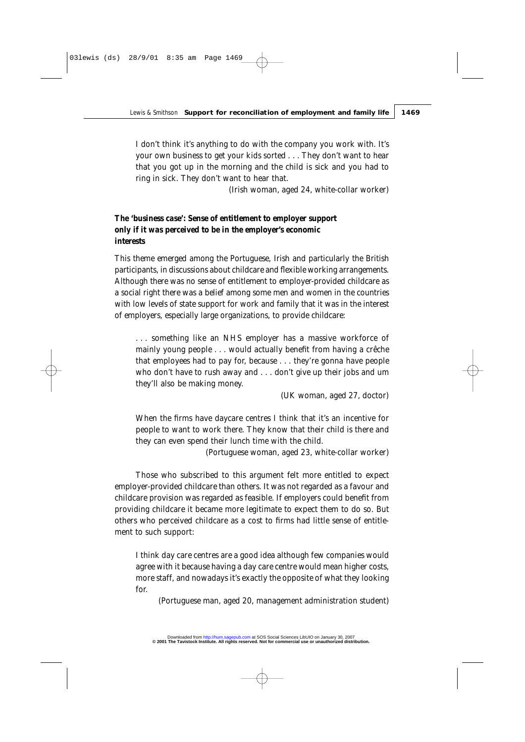I don't think it's anything to do with the company you work with. It's your own business to get your kids sorted . . . They don't want to hear that you got up in the morning and the child is sick and you had to ring in sick. They don't want to hear that.

(Irish woman, aged 24, white-collar worker)

## *The 'business case': Sense of entitlement to employer support only if it was perceived to be in the employer's economic interests*

This theme emerged among the Portuguese, Irish and particularly the British participants, in discussions about childcare and flexible working arrangements. Although there was no sense of entitlement to employer-provided childcare as a social right there was a belief among some men and women in the countries with low levels of state support for work and family that it was in the interest of employers, especially large organizations, to provide childcare:

. . . something like an NHS employer has a massive workforce of mainly young people . . . would actually benefit from having a crêche that employees had to pay for, because . . . they're gonna have people who don't have to rush away and . . . don't give up their jobs and um they'll also be making money.

(UK woman, aged 27, doctor)

When the firms have daycare centres I think that it's an incentive for people to want to work there. They know that their child is there and they can even spend their lunch time with the child.

(Portuguese woman, aged 23, white-collar worker)

Those who subscribed to this argument felt more entitled to expect employer-provided childcare than others. It was not regarded as a favour and childcare provision was regarded as feasible. If employers could benefit from providing childcare it became more legitimate to expect them to do so. But others who perceived childcare as a cost to firms had little sense of entitlement to such support:

I think day care centres are a good idea although few companies would agree with it because having a day care centre would mean higher costs, more staff, and nowadays it's exactly the opposite of what they looking for.

(Portuguese man, aged 20, management administration student)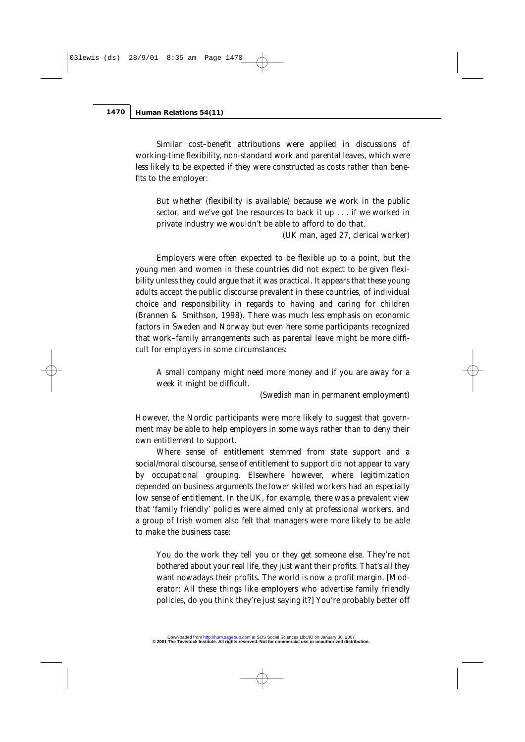Similar cost–benefit attributions were applied in discussions of working-time flexibility, non-standard work and parental leaves, which were less likely to be expected if they were constructed as costs rather than benefits to the employer:

But whether (flexibility is available) because we work in the public sector, and we've got the resources to back it up . . . if we worked in private industry we wouldn't be able to afford to do that.

(UK man, aged 27, clerical worker)

Employers were often expected to be flexible up to a point, but the young men and women in these countries did not expect to be given flexibility unless they could argue that it was practical. It appears that these young adults accept the public discourse prevalent in these countries, of individual choice and responsibility in regards to having and caring for children (Brannen & Smithson, 1998). There was much less emphasis on economic factors in Sweden and Norway but even here some participants recognized that work–family arrangements such as parental leave might be more difficult for employers in some circumstances:

A small company might need more money and if you are away for a week it might be difficult.

(Swedish man in permanent employment)

However, the Nordic participants were more likely to suggest that government may be able to help employers in some ways rather than to deny their own entitlement to support.

Where sense of entitlement stemmed from state support and a social/moral discourse, sense of entitlement to support did not appear to vary by occupational grouping. Elsewhere however, where legitimization depended on business arguments the lower skilled workers had an especially low sense of entitlement. In the UK, for example, there was a prevalent view that 'family friendly' policies were aimed only at professional workers, and a group of Irish women also felt that managers were more likely to be able to make the business case:

You do the work they tell you or they get someone else. They're not bothered about your real life, they just want their profits. That's all they want nowadays their profits. The world is now a profit margin. [Moderator: All these things like employers who advertise family friendly policies, do you think they're just saying it?] You're probably better off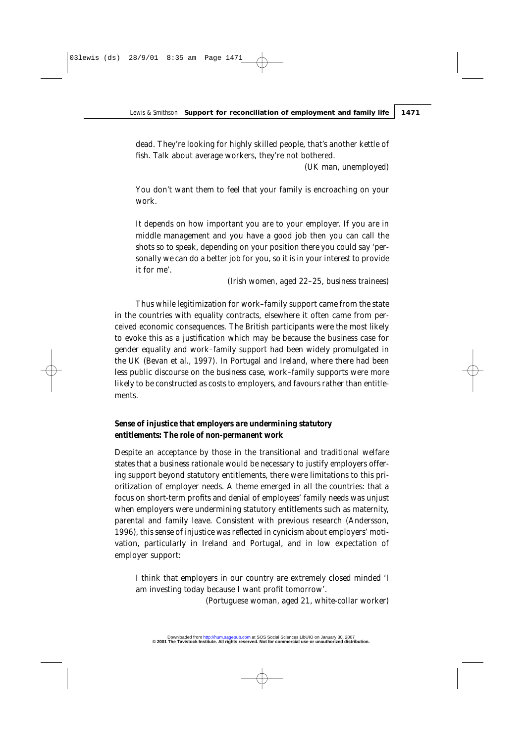dead. They're looking for highly skilled people, that's another kettle of fish. Talk about average workers, they're not bothered.

(UK man, unemployed)

You don't want them to feel that your family is encroaching on your work.

It depends on how important you are to your employer. If you are in middle management and you have a good job then you can call the shots so to speak, depending on your position there you could say 'personally we can do a better job for you, so it is in your interest to provide it for me'.

(Irish women, aged 22–25, business trainees)

Thus while legitimization for work–family support came from the state in the countries with equality contracts, elsewhere it often came from perceived economic consequences. The British participants were the most likely to evoke this as a justification which may be because the business case for gender equality and work–family support had been widely promulgated in the UK (Bevan et al., 1997). In Portugal and Ireland, where there had been less public discourse on the business case, work–family supports were more likely to be constructed as costs to employers, and favours rather than entitlements.

## *Sense of injustice that employers are undermining statutory entitlements: The role of non-permanent work*

Despite an acceptance by those in the transitional and traditional welfare states that a business rationale would be necessary to justify employers offering support beyond statutory entitlements, there were limitations to this prioritization of employer needs. A theme emerged in all the countries: that a focus on short-term profits and denial of employees' family needs was unjust when employers were undermining statutory entitlements such as maternity, parental and family leave. Consistent with previous research (Andersson, 1996), this sense of injustice was reflected in cynicism about employers' motivation, particularly in Ireland and Portugal, and in low expectation of employer support:

I think that employers in our country are extremely closed minded 'I am investing today because I want profit tomorrow'.

(Portuguese woman, aged 21, white-collar worker)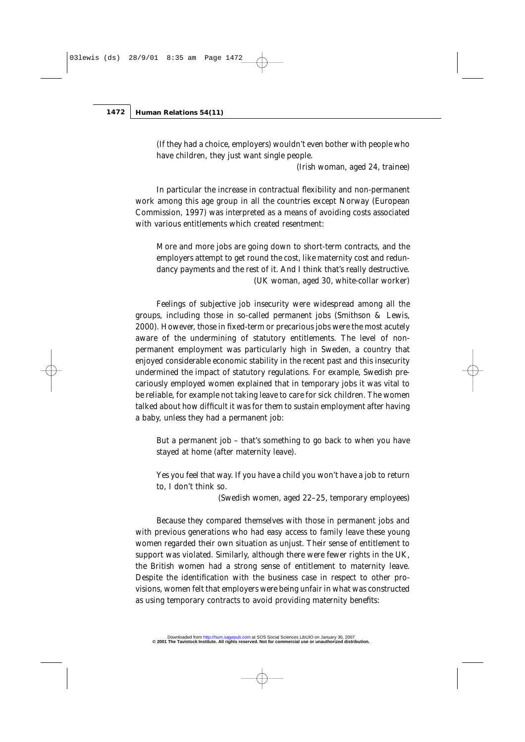(If they had a choice, employers) wouldn't even bother with people who have children, they just want single people.

(Irish woman, aged 24, trainee)

In particular the increase in contractual flexibility and non-permanent work among this age group in all the countries except Norway (European Commission, 1997) was interpreted as a means of avoiding costs associated with various entitlements which created resentment:

More and more jobs are going down to short-term contracts, and the employers attempt to get round the cost, like maternity cost and redundancy payments and the rest of it. And I think that's really destructive. (UK woman, aged 30, white-collar worker)

Feelings of subjective job insecurity were widespread among all the groups, including those in so-called permanent jobs (Smithson & Lewis, 2000). However, those in fixed-term or precarious jobs were the most acutely aware of the undermining of statutory entitlements. The level of nonpermanent employment was particularly high in Sweden, a country that enjoyed considerable economic stability in the recent past and this insecurity undermined the impact of statutory regulations. For example, Swedish precariously employed women explained that in temporary jobs it was vital to be reliable, for example not taking leave to care for sick children. The women talked about how difficult it was for them to sustain employment after having a baby, unless they had a permanent job:

But a permanent job – that's something to go back to when you have stayed at home (after maternity leave).

Yes you feel that way. If you have a child you won't have a job to return to, I don't think so.

(Swedish women, aged 22–25, temporary employees)

Because they compared themselves with those in permanent jobs and with previous generations who had easy access to family leave these young women regarded their own situation as unjust. Their sense of entitlement to support was violated. Similarly, although there were fewer rights in the UK, the British women had a strong sense of entitlement to maternity leave. Despite the identification with the business case in respect to other provisions, women felt that employers were being unfair in what was constructed as using temporary contracts to avoid providing maternity benefits: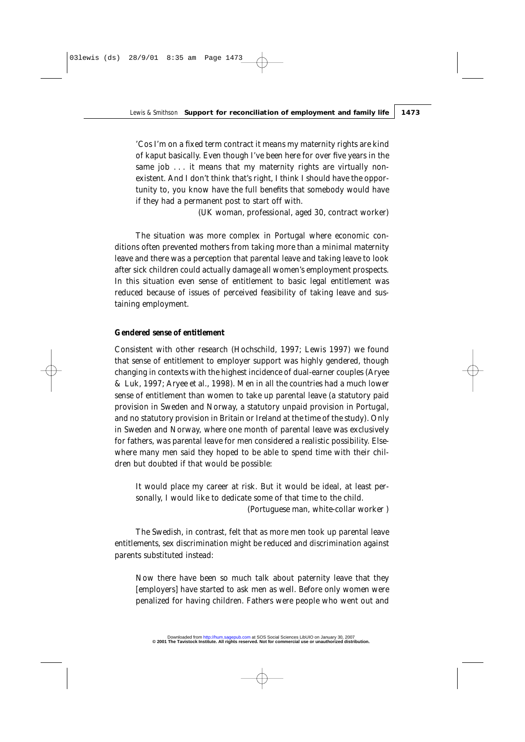'Cos I'm on a fixed term contract it means my maternity rights are kind of kaput basically. Even though I've been here for over five years in the same job . . . it means that my maternity rights are virtually nonexistent. And I don't think that's right, I think I should have the opportunity to, you know have the full benefits that somebody would have if they had a permanent post to start off with.

(UK woman, professional, aged 30, contract worker)

The situation was more complex in Portugal where economic conditions often prevented mothers from taking more than a minimal maternity leave and there was a perception that parental leave and taking leave to look after sick children could actually damage all women's employment prospects. In this situation even sense of entitlement to basic legal entitlement was reduced because of issues of perceived feasibility of taking leave and sustaining employment.

#### *Gendered sense of entitlement*

Consistent with other research (Hochschild, 1997; Lewis 1997) we found that sense of entitlement to employer support was highly gendered, though changing in contexts with the highest incidence of dual-earner couples (Aryee & Luk, 1997; Aryee et al., 1998). Men in all the countries had a much lower sense of entitlement than women to take up parental leave (a statutory paid provision in Sweden and Norway, a statutory unpaid provision in Portugal, and no statutory provision in Britain or Ireland at the time of the study). Only in Sweden and Norway, where one month of parental leave was exclusively for fathers, was parental leave for men considered a realistic possibility. Elsewhere many men said they hoped to be able to spend time with their children but doubted if that would be possible:

It would place my career at risk. But it would be ideal, at least personally, I would like to dedicate some of that time to the child. (Portuguese man, white-collar worker )

The Swedish, in contrast, felt that as more men took up parental leave entitlements, sex discrimination might be reduced and discrimination against parents substituted instead:

Now there have been so much talk about paternity leave that they [employers] have started to ask men as well. Before only women were penalized for having children. Fathers were people who went out and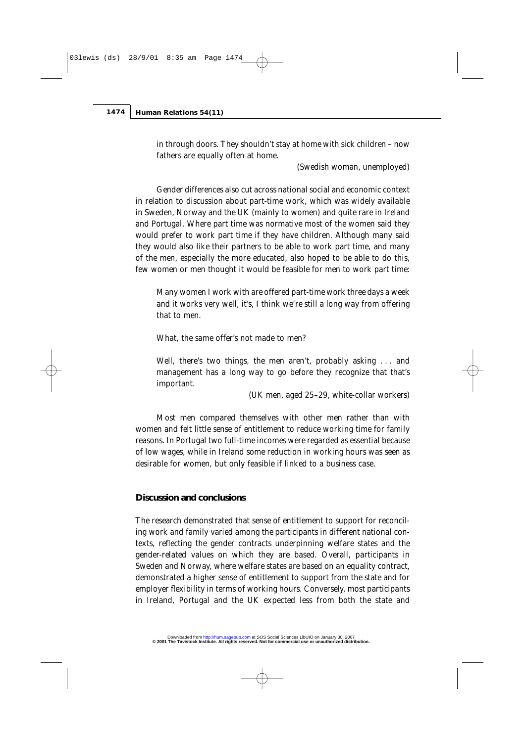in through doors. They shouldn't stay at home with sick children – now fathers are equally often at home.

(Swedish woman, unemployed)

Gender differences also cut across national social and economic context in relation to discussion about part-time work, which was widely available in Sweden, Norway and the UK (mainly to women) and quite rare in Ireland and Portugal. Where part time was normative most of the women said they would prefer to work part time if they have children. Although many said they would also like their partners to be able to work part time, and many of the men, especially the more educated, also hoped to be able to do this, few women or men thought it would be feasible for men to work part time:

Many women I work with are offered part-time work three days a week and it works very well, it's, I think we're still a long way from offering that to men.

What, the same offer's not made to men?

Well, there's two things, the men aren't, probably asking . . . and management has a long way to go before they recognize that that's important.

(UK men, aged 25–29, white-collar workers)

Most men compared themselves with other men rather than with women and felt little sense of entitlement to reduce working time for family reasons. In Portugal two full-time incomes were regarded as essential because of low wages, while in Ireland some reduction in working hours was seen as desirable for women, but only feasible if linked to a business case.

#### **Discussion and conclusions**

The research demonstrated that sense of entitlement to support for reconciling work and family varied among the participants in different national contexts, reflecting the gender contracts underpinning welfare states and the gender-related values on which they are based. Overall, participants in Sweden and Norway, where welfare states are based on an equality contract, demonstrated a higher sense of entitlement to support from the state and for employer flexibility in terms of working hours. Conversely, most participants in Ireland, Portugal and the UK expected less from both the state and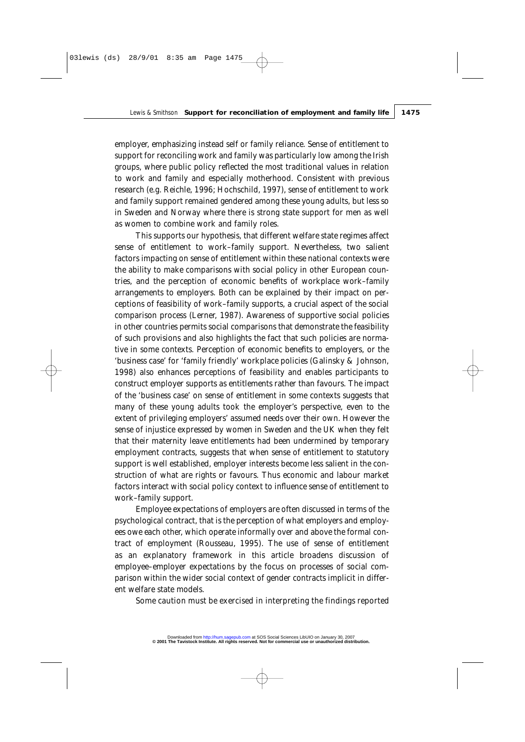employer, emphasizing instead self or family reliance. Sense of entitlement to support for reconciling work and family was particularly low among the Irish groups, where public policy reflected the most traditional values in relation to work and family and especially motherhood. Consistent with previous research (e.g. Reichle, 1996; Hochschild, 1997), sense of entitlement to work and family support remained gendered among these young adults, but less so in Sweden and Norway where there is strong state support for men as well as women to combine work and family roles.

This supports our hypothesis, that different welfare state regimes affect sense of entitlement to work–family support. Nevertheless, two salient factors impacting on sense of entitlement within these national contexts were the ability to make comparisons with social policy in other European countries, and the perception of economic benefits of workplace work–family arrangements to employers. Both can be explained by their impact on perceptions of feasibility of work–family supports, a crucial aspect of the social comparison process (Lerner, 1987). Awareness of supportive social policies in other countries permits social comparisons that demonstrate the feasibility of such provisions and also highlights the fact that such policies are normative in some contexts. Perception of economic benefits to employers, or the 'business case' for 'family friendly' workplace policies (Galinsky & Johnson, 1998) also enhances perceptions of feasibility and enables participants to construct employer supports as entitlements rather than favours. The impact of the 'business case' on sense of entitlement in some contexts suggests that many of these young adults took the employer's perspective, even to the extent of privileging employers' assumed needs over their own. However the sense of injustice expressed by women in Sweden and the UK when they felt that their maternity leave entitlements had been undermined by temporary employment contracts, suggests that when sense of entitlement to statutory support is well established, employer interests become less salient in the construction of what are rights or favours. Thus economic and labour market factors interact with social policy context to influence sense of entitlement to work–family support.

Employee expectations of employers are often discussed in terms of the psychological contract, that is the perception of what employers and employees owe each other, which operate informally over and above the formal contract of employment (Rousseau, 1995). The use of sense of entitlement as an explanatory framework in this article broadens discussion of employee–employer expectations by the focus on processes of social comparison within the wider social context of gender contracts implicit in different welfare state models.

Some caution must be exercised in interpreting the findings reported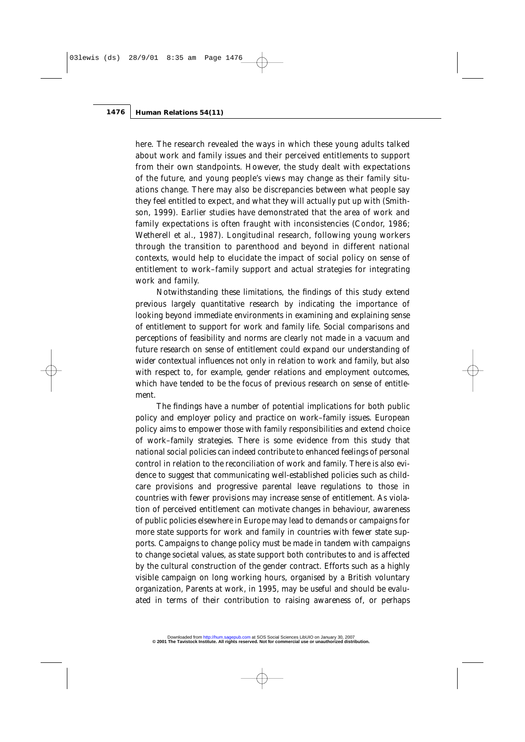here. The research revealed the ways in which these young adults talked about work and family issues and their perceived entitlements to support from their own standpoints. However, the study dealt with expectations of the future, and young people's views may change as their family situations change. There may also be discrepancies between what people say they feel entitled to expect, and what they will actually put up with (Smithson, 1999). Earlier studies have demonstrated that the area of work and family expectations is often fraught with inconsistencies (Condor, 1986; Wetherell et al., 1987). Longitudinal research, following young workers through the transition to parenthood and beyond in different national contexts, would help to elucidate the impact of social policy on sense of entitlement to work–family support and actual strategies for integrating work and family.

Notwithstanding these limitations, the findings of this study extend previous largely quantitative research by indicating the importance of looking beyond immediate environments in examining and explaining sense of entitlement to support for work and family life. Social comparisons and perceptions of feasibility and norms are clearly not made in a vacuum and future research on sense of entitlement could expand our understanding of wider contextual influences not only in relation to work and family, but also with respect to, for example, gender relations and employment outcomes, which have tended to be the focus of previous research on sense of entitlement.

The findings have a number of potential implications for both public policy and employer policy and practice on work–family issues. European policy aims to empower those with family responsibilities and extend choice of work–family strategies. There is some evidence from this study that national social policies can indeed contribute to enhanced feelings of personal control in relation to the reconciliation of work and family. There is also evidence to suggest that communicating well-established policies such as childcare provisions and progressive parental leave regulations to those in countries with fewer provisions may increase sense of entitlement. As violation of perceived entitlement can motivate changes in behaviour, awareness of public policies elsewhere in Europe may lead to demands or campaigns for more state supports for work and family in countries with fewer state supports. Campaigns to change policy must be made in tandem with campaigns to change societal values, as state support both contributes to and is affected by the cultural construction of the gender contract. Efforts such as a highly visible campaign on long working hours, organised by a British voluntary organization, *Parents at work*, in 1995, may be useful and should be evaluated in terms of their contribution to raising awareness of, or perhaps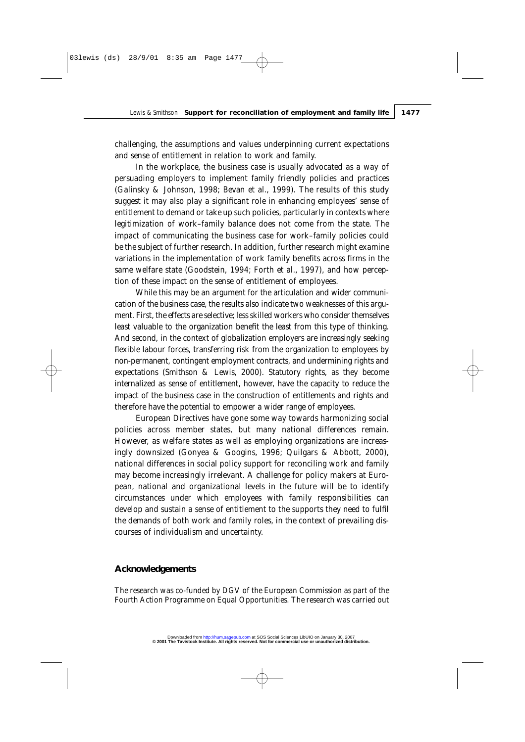challenging, the assumptions and values underpinning current expectations and sense of entitlement in relation to work and family.

In the workplace, the business case is usually advocated as a way of persuading employers to implement family friendly policies and practices (Galinsky & Johnson, 1998; Bevan et al., 1999). The results of this study suggest it may also play a significant role in enhancing employees' sense of entitlement to demand or take up such policies, particularly in contexts where legitimization of work–family balance does not come from the state. The impact of communicating the business case for work–family policies could be the subject of further research. In addition, further research might examine variations in the implementation of work family benefits across firms in the same welfare state (Goodstein, 1994; Forth et al., 1997), and how perception of these impact on the sense of entitlement of employees.

While this may be an argument for the articulation and wider communication of the business case, the results also indicate two weaknesses of this argument. First, the effects are selective; less skilled workers who consider themselves least valuable to the organization benefit the least from this type of thinking. And second, in the context of globalization employers are increasingly seeking flexible labour forces, transferring risk from the organization to employees by non-permanent, contingent employment contracts, and undermining rights and expectations (Smithson & Lewis, 2000). Statutory rights, as they become internalized as sense of entitlement, however, have the capacity to reduce the impact of the business case in the construction of entitlements and rights and therefore have the potential to empower a wider range of employees.

European Directives have gone some way towards harmonizing social policies across member states, but many national differences remain. However, as welfare states as well as employing organizations are increasingly downsized (Gonyea & Googins, 1996; Quilgars & Abbott, 2000), national differences in social policy support for reconciling work and family may become increasingly irrelevant. A challenge for policy makers at European, national and organizational levels in the future will be to identify circumstances under which employees with family responsibilities can develop and sustain a sense of entitlement to the supports they need to fulfil the demands of both work and family roles, in the context of prevailing discourses of individualism and uncertainty.

#### **Acknowledgements**

The research was co-funded by DGV of the European Commission as part of the Fourth Action Programme on Equal Opportunities. The research was carried out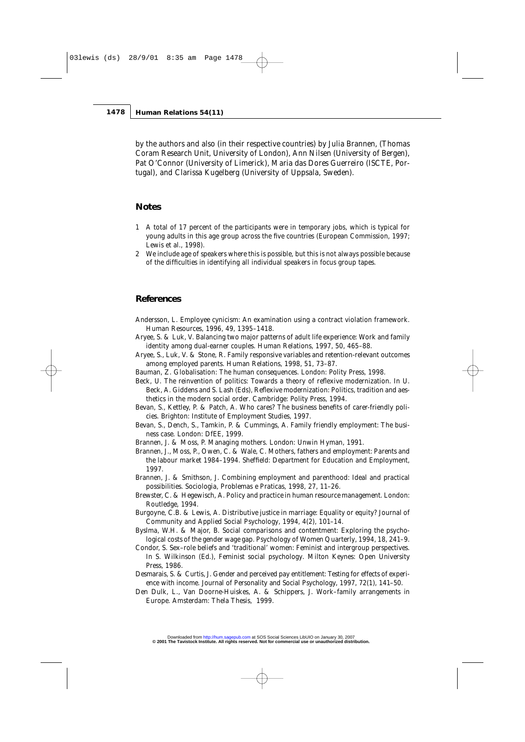by the authors and also (in their respective countries) by Julia Brannen, (Thomas Coram Research Unit, University of London), Ann Nilsen (University of Bergen), Pat O'Connor (University of Limerick), Maria das Dores Guerreiro (ISCTE, Portugal), and Clarissa Kugelberg (University of Uppsala, Sweden).

#### **Notes**

- 1 A total of 17 percent of the participants were in temporary jobs, which is typical for young adults in this age group across the five countries (European Commission, 1997; Lewis et al., 1998).
- 2 We include age of speakers where this is possible, but this is not always possible because of the difficulties in identifying all individual speakers in focus group tapes.

#### **References**

- Andersson, L. Employee cynicism: An examination using a contract violation framework. *Human Resources*, 1996, *49*, 1395–1418.
- Aryee, S. & Luk, V. Balancing two major patterns of adult life experience: Work and family identity among dual-earner couples. *Human Relations*, 1997, *50,* 465–88.
- Aryee, S., Luk, V. & Stone, R. Family responsive variables and retention-relevant outcomes among employed parents. *Human Relations*, 1998, *51,* 73–87.
- Bauman, Z. *Globalisation: The human consequences*. London: Polity Press, 1998.
- Beck, U. The reinvention of politics: Towards a theory of reflexive modernization. In U. Beck, A. Giddens and S. Lash (Eds), *Reflexive modernization: Politics, tradition and aesthetics in the modern social order*. Cambridge: Polity Press, 1994.
- Bevan, S., Kettley, P. & Patch, A. *Who cares? The business benefits of carer-friendly policies.* Brighton: Institute of Employment Studies, 1997.
- Bevan, S., Dench, S., Tamkin, P. & Cummings, A. *Family friendly employment: The business case*. London: DfEE, 1999.
- Brannen, J. & Moss, P. *Managing mothers*. London: Unwin Hyman, 1991.
- Brannen, J., Moss, P., Owen, C. & Wale, C. *Mothers, fathers and employment: Parents and the labour market 1984–1994.* Sheffield: Department for Education and Employment, 1997.
- Brannen, J. & Smithson, J. Combining employment and parenthood: Ideal and practical possibilities. *Sociologia, Problemas e Praticas*, 1998, *27*, 11–26.
- Brewster, C. & Hegewisch, A. *Policy and practice in human resource management*. London: Routledge, 1994.
- Burgoyne, C.B. & Lewis, A. Distributive justice in marriage: Equality or equity? *Journal of Community and Applied Social Psychology*, 1994, *4*(2), 101–14.
- Byslma, W.H. & Major, B. Social comparisons and contentment: Exploring the psychological costs of the gender wage gap. *Psychology of Women Quarterly*, 1994, *18,* 241–9.
- Condor, S. Sex–role beliefs and 'traditional' women: Feminist and intergroup perspectives. In S. Wilkinson (Ed.), *Feminist social psychology*. Milton Keynes: Open University Press, 1986.
- Desmarais, S. & Curtis, J. Gender and perceived pay entitlement: Testing for effects of experience with income. *Journal of Personality and Social Psychology*, 1997, *72*(1), 141–50.
- Den Dulk, L., Van Doorne-Huiskes, A. & Schippers, J. *Work–family arrangements in Europe*. Amsterdam: Thela Thesis, 1999.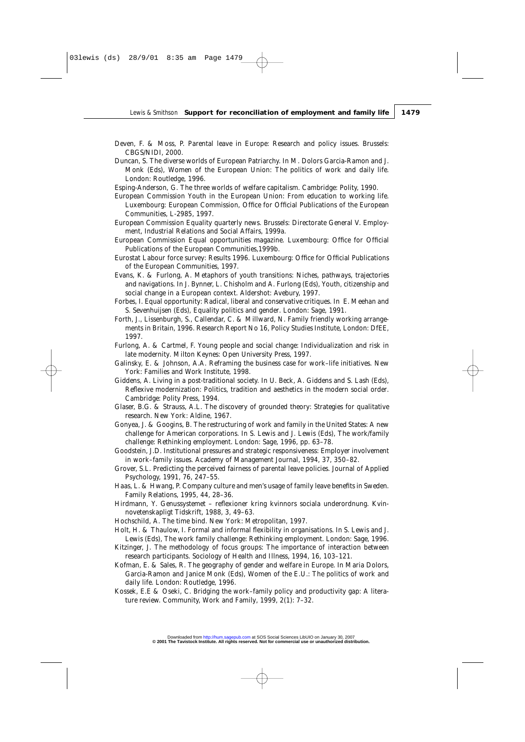- Deven, F. & Moss, P. *Parental leave in Europe: Research and policy issues*. Brussels: CBGS/NIDI, 2000.
- Duncan, S. The diverse worlds of European Patriarchy. In M. Dolors Garcia-Ramon and J. Monk (Eds), *Women of the European Union: The politics of work and daily life*. London: Routledge, 1996.

Esping-Anderson, G. *The three worlds of welfare capitalism*. Cambridge: Polity, 1990.

- European Commission *Youth in the European Union: From education to working life*. Luxembourg: European Commission, Office for Official Publications of the European Communities, L-2985, 1997.
- European Commission *Equality quarterly news*. Brussels: Directorate General V. Employment, Industrial Relations and Social Affairs, 1999a.
- European Commission *Equal opportunities magazine*. Luxembourg: Office for Official Publications of the European Communities,1999b.
- Eurostat *Labour force survey: Results 1996*. Luxembourg: Office for Official Publications of the European Communities, 1997.
- Evans, K. & Furlong, A. Metaphors of youth transitions: Niches, pathways, trajectories and navigations. In J. Bynner, L. Chisholm and A. Furlong (Eds), *Youth, citizenship and social change in a European context*. Aldershot: Avebury, 1997.
- Forbes, I. Equal opportunity: Radical, liberal and conservative critiques. In E. Meehan and S. Sevenhuijsen (Eds), *Equality politics and gender*. London: Sage, 1991.
- Forth, J., Lissenburgh, S., Callendar, C. & Millward, N. *Family friendly working arrangements in Britain, 1996*. Research Report No 16, Policy Studies Institute, London: DfEE, 1997.
- Furlong, A. & Cartmel, F. *Young people and social change: Individualization and risk in late modernity*. Milton Keynes: Open University Press, 1997.
- Galinsky, E. & Johnson, A.A. *Reframing the business case for work–life initiatives*. New York: Families and Work Institute, 1998.
- Giddens, A. Living in a post-traditional society. In U. Beck, A. Giddens and S. Lash (Eds), *Reflexive modernization: Politics, tradition and aesthetics in the modern social order*. Cambridge: Polity Press, 1994.
- Glaser, B.G. & Strauss, A.L. *The discovery of grounded theory: Strategies for qualitative research*. New York: Aldine, 1967.
- Gonyea, J. & Googins, B. The restructuring of work and family in the United States: A new challenge for American corporations. In S. Lewis and J. Lewis (Eds), *The work/family challenge: Rethinking employment.* London: Sage, 1996, pp. 63–78.
- Goodstein, J.D. Institutional pressures and strategic responsiveness: Employer involvement in work–family issues. *Academy of Management Journal,* 1994, *37*, 350–82.
- Grover, S.L. Predicting the perceived fairness of parental leave policies. *Journal of Applied Psychology,* 1991, *76*, 247–55.
- Haas, L. & Hwang, P. Company culture and men's usage of family leave benefits in Sweden. *Family Relations,* 1995, *44*, 28–36.
- Hirdmann, Y. Genussystemet reflexioner kring kvinnors sociala underordnung. *Kvinnovetenskapligt Tidskrift,* 1988, *3*, 49–63.
- Hochschild, A. *The time bind.* New York: Metropolitan, 1997.
- Holt, H. & Thaulow, I. Formal and informal flexibility in organisations. In S. Lewis and J. Lewis (Eds), *The work family challenge: Rethinking employment.* London: Sage, 1996.
- Kitzinger, J. The methodology of focus groups: The importance of interaction between research participants. *Sociology of Health and Illness*, 1994, *16*, 103–121.
- Kofman, E. & Sales, R. The geography of gender and welfare in Europe. In Maria Dolors, Garcia-Ramon and Janice Monk (Eds), *Women of the E.U.: The politics of work and daily life*. London: Routledge, 1996.
- Kossek, E.E & Oseki, C. Bridging the work–family policy and productivity gap: A literature review. *Community, Work and Family*, 1999, *2*(1): 7–32.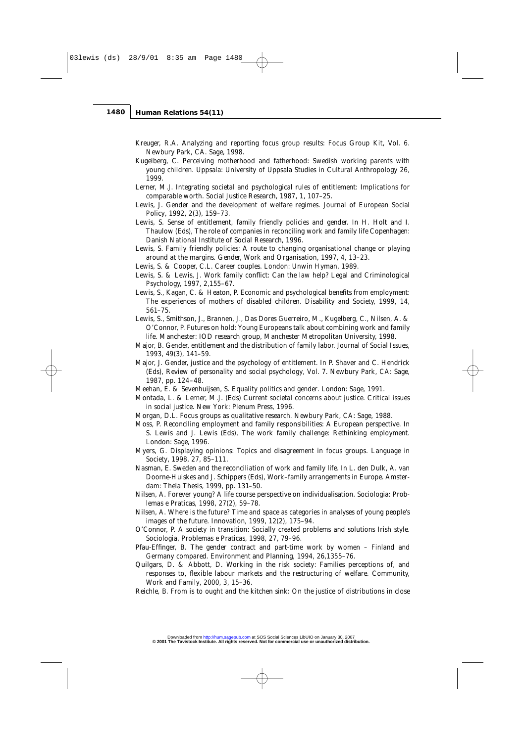- Kreuger, R.A. *Analyzing and reporting focus group results: Focus Group Kit,* Vol. 6*.* Newbury Park, CA. Sage, 1998.
- Kugelberg, C. *Perceiving motherhood and fatherhood: Swedish working parents with young children*. Uppsala: University of Uppsala Studies in Cultural Anthropology 26, 1999.
- Lerner, M.J. Integrating societal and psychological rules of entitlement: Implications for comparable worth. *Social Justice Research*, 1987, *1*, 107–25.
- Lewis, J. Gender and the development of welfare regimes. *Journal of European Social Policy*, 1992, *2*(3), 159–73.
- Lewis, S. Sense of entitlement, family friendly policies and gender. In H. Holt and I. Thaulow (Eds), *The role of companies in reconciling work and family life* Copenhagen: Danish National Institute of Social Research, 1996.
- Lewis, S. Family friendly policies: A route to changing organisational change or playing around at the margins. *Gender, Work and Organisation,* 1997, *4*, 13–23.
- Lewis, S. & Cooper, C.L. *Career couples*. London: Unwin Hyman, 1989.
- Lewis, S. & Lewis, J. Work family conflict: Can the law help? *Legal and Criminological Psychology,* 1997, *2*,155–67.
- Lewis, S., Kagan, C. & Heaton, P. Economic and psychological benefits from employment: The experiences of mothers of disabled children. *Disability and Society,* 1999, *14*, 561–75.
- Lewis, S., Smithson, J., Brannen, J., Das Dores Guerreiro, M., Kugelberg, C., Nilsen, A. & O'Connor, P. *Futures on hold: Young Europeans talk about combining work and family life*. Manchester: IOD research group, Manchester Metropolitan University, 1998.
- Major, B. Gender, entitlement and the distribution of family labor. *Journal of Social Issues,* 1993, *49*(3), 141–59.
- Major, J. Gender, justice and the psychology of entitlement. In P. Shaver and C. Hendrick (Eds), *Review of personality and social psychology*, Vol. 7. Newbury Park, CA: Sage, 1987, pp. 124–48.
- Meehan, E. & Sevenhuijsen, S. *Equality politics and gender*. London: Sage, 1991.
- Montada, L. & Lerner, M.J. (Eds) *Current societal concerns about justice.* Critical issues in social justice. New York: Plenum Press, 1996.
- Morgan, D.L. *Focus groups as qualitative research*. Newbury Park, CA: Sage, 1988.
- Moss, P. Reconciling employment and family responsibilities: A European perspective. In S. Lewis and J. Lewis (Eds), *The work family challenge: Rethinking employment*. London: Sage, 1996.
- Myers, G. Displaying opinions: Topics and disagreement in focus groups. *Language in Society*, 1998, *27*, 85–111.
- Nasman, E. Sweden and the reconciliation of work and family life. In L. den Dulk, A. van Doorne-Huiskes and J. Schippers (Eds), *Work–family arrangements in Europe*. Amsterdam: Thela Thesis, 1999, pp. 131–50.
- Nilsen, A. Forever young? A life course perspective on individualisation. *Sociologia: Problemas e Praticas*, 1998, *27*(2), 59–78.
- Nilsen, A. Where is the future? Time and space as categories in analyses of young people's images of the future. *Innovation*, 1999, *12*(2), 175–94.
- O'Connor, P. A society in transition: Socially created problems and solutions Irish style. *Sociologia, Problemas e Praticas*, 1998, *27*, 79–96.
- Pfau-Effinger, B. The gender contract and part-time work by women Finland and Germany compared. *Environment and Planning*, 1994, *26*,1355–76.
- Quilgars, D. & Abbott, D. Working in the risk society: Families perceptions of, and responses to, flexible labour markets and the restructuring of welfare. *Community, Work and Family*, 2000, *3*, 15–36.
- Reichle, B. From is to ought and the kitchen sink: On the justice of distributions in close